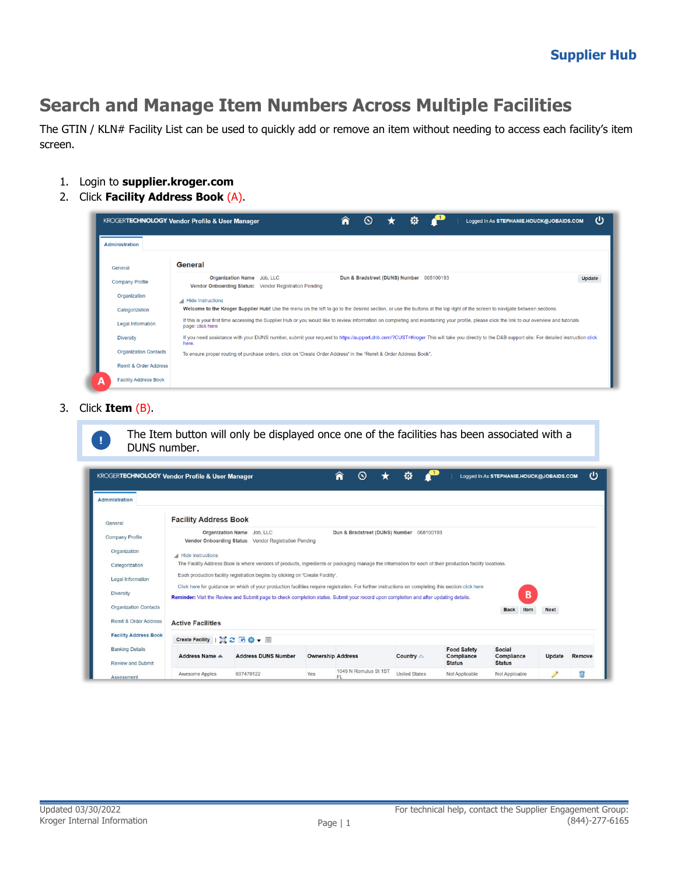## **Search and Manage Item Numbers Across Multiple Facilities**

The GTIN / KLN# Facility List can be used to quickly add or remove an item without needing to access each facility's item screen.

- 1. Login to **supplier.kroger.com**
- 2. Click **Facility Address Book** (A).

|                                  | o<br>ധ<br>Â<br><b>KROGERTECHNOLOGY Vendor Profile &amp; User Manager</b><br>$\infty$<br>Logged In As STEPHANIE.HOUCK@JOBAIDS.COM                                                                                  |
|----------------------------------|-------------------------------------------------------------------------------------------------------------------------------------------------------------------------------------------------------------------|
| <b>Administration</b>            |                                                                                                                                                                                                                   |
| General                          | General                                                                                                                                                                                                           |
| <b>Company Profile</b>           | Organization Name Job, LLC<br>Dun & Bradstreet (DUNS) Number 068100193<br>Update<br>Vendor Onboarding Status: Vendor Registration Pending                                                                         |
| Organization                     | Hide Instructions                                                                                                                                                                                                 |
| Categorization                   | Welcome to the Kroger Supplier Hub! Use the menu on the left to go to the desired section, or use the buttons at the top right of the screen to navigate between sections.                                        |
| <b>Legal Information</b>         | If this is your first time accessing the Supplier Hub or you would like to review information on completing and maintaining your profile, please click the link to our overview and tutorials<br>page: click here |
| <b>Diversity</b>                 | If you need assistance with your DUNS number, submit your request to https://support.dnb.com/?CUST=Kroger This will take you directly to the D&B support site. For detailed instruction click<br>here.            |
| <b>Organization Contacts</b>     | To ensure proper routing of purchase orders, click on 'Create Order Address' in the "Remit & Order Address Book".                                                                                                 |
| <b>Remit &amp; Order Address</b> |                                                                                                                                                                                                                   |
| <b>Facility Address Book</b>     |                                                                                                                                                                                                                   |

3. Click **Item** (B).



The Item button will only be displayed once one of the facilities has been associated with a **DUNS number.** 

| <b>KROGERTECHNOLOGY Vendor Profile &amp; User Manager</b> |                                |                                                                                                                                                                                                                                                                                              |                          | A<br>$\circ$                             | o                    |                                                   | Logged In As STEPHANIE.HOUCK@JOBAIDS.COM     |             | ധ      |
|-----------------------------------------------------------|--------------------------------|----------------------------------------------------------------------------------------------------------------------------------------------------------------------------------------------------------------------------------------------------------------------------------------------|--------------------------|------------------------------------------|----------------------|---------------------------------------------------|----------------------------------------------|-------------|--------|
| <b>Administration</b>                                     |                                |                                                                                                                                                                                                                                                                                              |                          |                                          |                      |                                                   |                                              |             |        |
| General                                                   | <b>Facility Address Book</b>   |                                                                                                                                                                                                                                                                                              |                          |                                          |                      |                                                   |                                              |             |        |
| <b>Company Profile</b>                                    |                                | Organization Name Job, LLC<br>Vendor Onboarding Status Vendor Registration Pending                                                                                                                                                                                                           |                          | Dun & Bradstreet (DUNS) Number 068100193 |                      |                                                   |                                              |             |        |
| Organization                                              | Hide Instructions              |                                                                                                                                                                                                                                                                                              |                          |                                          |                      |                                                   |                                              |             |        |
| Categorization                                            |                                | The Facility Address Book is where vendors of products, ingredients or packaging manage the information for each of their production facility locations.                                                                                                                                     |                          |                                          |                      |                                                   |                                              |             |        |
| Legal Information                                         |                                | Each production facility registration begins by clicking on 'Create Facility'.                                                                                                                                                                                                               |                          |                                          |                      |                                                   |                                              |             |        |
| <b>Diversity</b>                                          |                                | Click here for quidance on which of your production facilities require registration. For further instructions on completing this section click here<br>Reminder: Visit the Review and Submit page to check completion status. Submit your record upon completion and after updating details. |                          |                                          |                      |                                                   | в                                            |             |        |
| <b>Organization Contacts</b>                              |                                |                                                                                                                                                                                                                                                                                              |                          |                                          |                      |                                                   | <b>Back</b><br>Item                          | <b>Next</b> |        |
| Remit & Order Address                                     | <b>Active Facilities</b>       |                                                                                                                                                                                                                                                                                              |                          |                                          |                      |                                                   |                                              |             |        |
| <b>Facility Address Book</b>                              | Create Facility   0 2 6 3 - 11 |                                                                                                                                                                                                                                                                                              |                          |                                          |                      |                                                   |                                              |             |        |
| <b>Banking Details</b><br>Review and Submit               | Address Name $\triangle$       | <b>Address DUNS Number</b>                                                                                                                                                                                                                                                                   | <b>Ownership Address</b> |                                          | Country $\triangle$  | <b>Food Safety</b><br>Compliance<br><b>Status</b> | <b>Social</b><br>Compliance<br><b>Status</b> | Update      | Remove |
| Assessment                                                | Awesome Apples                 | 607470122                                                                                                                                                                                                                                                                                    | Yes                      | 1049 N Romulus St 1ST<br>FL.             | <b>United States</b> | Not Applicable                                    | Not Applicable                               |             |        |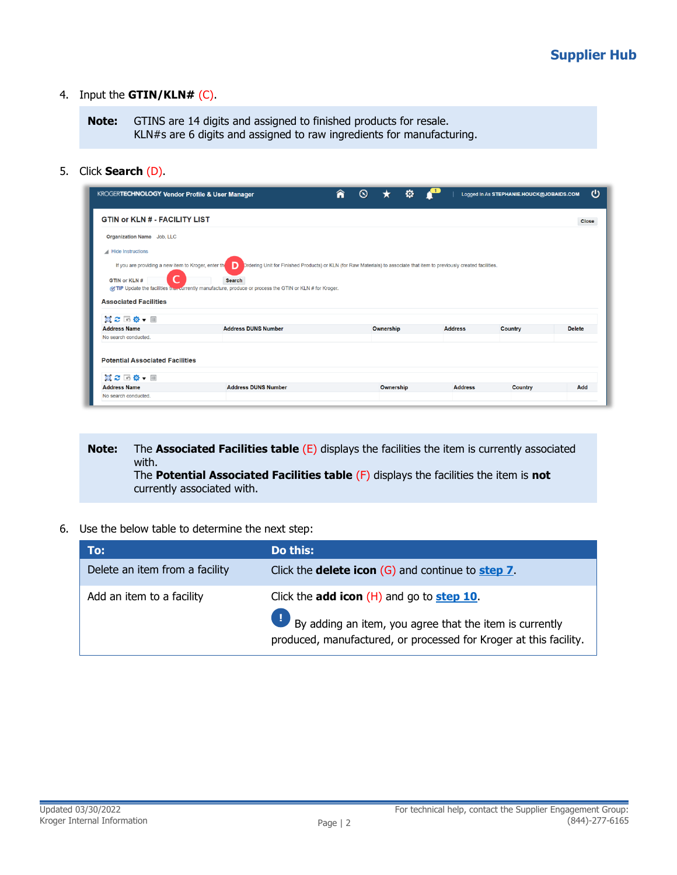## 4. Input the **GTIN/KLN#** (C).

**Note:** GTINS are 14 digits and assigned to finished products for resale. KLN#s are 6 digits and assigned to raw ingredients for manufacturing.

5. Click **Search** (D).

|                                                                                            | <b>KROGERTECHNOLOGY Vendor Profile &amp; User Manager</b>                                                                                      | ⋒ | $\odot$   | o |                | Logged In As STEPHANIE.HOUCK@JOBAIDS.COM | ധ             |
|--------------------------------------------------------------------------------------------|------------------------------------------------------------------------------------------------------------------------------------------------|---|-----------|---|----------------|------------------------------------------|---------------|
| <b>GTIN or KLN # - FACILITY LIST</b>                                                       |                                                                                                                                                |   |           |   |                |                                          | <b>Close</b>  |
| Organization Name Job, LLC                                                                 |                                                                                                                                                |   |           |   |                |                                          |               |
| Hide Instructions<br>If you are providing a new item to Kroger, enter the<br>GTIN or KLN # | Drdering Unit for Finished Products) or KLN (for Raw Materials) to associate that item to previously created facilities.<br>D<br><b>Search</b> |   |           |   |                |                                          |               |
| <b>Associated Facilities</b>                                                               | of TIP Update the facilities the currently manufacture, produce or process the GTIN or KLN # for Kroger.                                       |   |           |   |                |                                          |               |
| 画 2 回 ※ ▼ 画<br><b>Address Name</b>                                                         | <b>Address DUNS Number</b>                                                                                                                     |   | Ownership |   | <b>Address</b> | Country                                  | <b>Delete</b> |
| No search conducted.                                                                       |                                                                                                                                                |   |           |   |                |                                          |               |

**Note:** The **Associated Facilities table** (E) displays the facilities the item is currently associated with. The **Potential Associated Facilities table** (F) displays the facilities the item is **not** currently associated with.

6. Use the below table to determine the next step:

| To:                            | Do this:                                                                                                                                                                                   |
|--------------------------------|--------------------------------------------------------------------------------------------------------------------------------------------------------------------------------------------|
| Delete an item from a facility | Click the <b>delete icon</b> $(G)$ and continue to <b>step 7</b> .                                                                                                                         |
| Add an item to a facility      | Click the <b>add icon</b> $(H)$ and go to <b>step 10</b> .<br>By adding an item, you agree that the item is currently<br>produced, manufactured, or processed for Kroger at this facility. |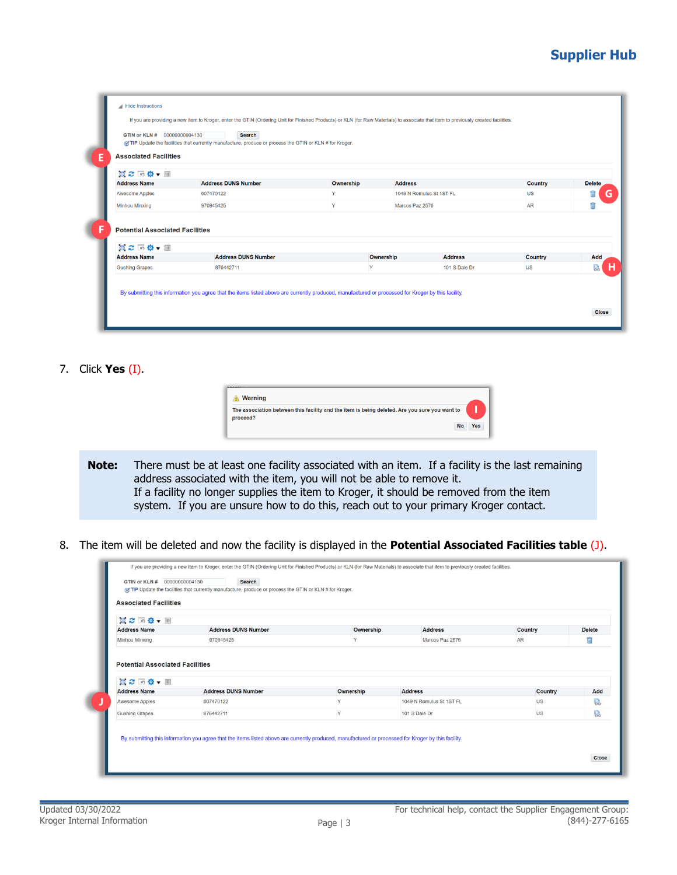## **Supplier Hub**

| 真 2 回 章 ▼ 画                                                             |                            |           |                 |                          |           |               |
|-------------------------------------------------------------------------|----------------------------|-----------|-----------------|--------------------------|-----------|---------------|
| <b>Address Name</b>                                                     | <b>Address DUNS Number</b> | Ownership | <b>Address</b>  |                          | Country   | <b>Delete</b> |
| <b>Awesome Apples</b>                                                   | 607470122                  | Y         |                 | 1049 N Romulus St 1ST FL | <b>US</b> |               |
| Minhou Minxing                                                          | 970945425                  | Y         | Marcos Paz 2576 |                          | <b>AR</b> | Ħ             |
| <b>Potential Associated Facilities</b><br>真ご回り、皿<br><b>Address Name</b> | <b>Address DUNS Number</b> |           | Ownership       | <b>Address</b>           | Country   | Add           |
|                                                                         |                            |           |                 |                          |           |               |

<span id="page-2-0"></span>7. Click **Yes** (I).

| <b>Warning</b> |                                                                                               |    |     |
|----------------|-----------------------------------------------------------------------------------------------|----|-----|
| proceed?       | The association between this facility and the item is being deleted. Are you sure you want to |    |     |
|                |                                                                                               | No | Yes |

**Note:** There must be at least one facility associated with an item. If a facility is the last remaining address associated with the item, you will not be able to remove it. If a facility no longer supplies the item to Kroger, it should be removed from the item system. If you are unsure how to do this, reach out to your primary Kroger contact.

8. The item will be deleted and now the facility is displayed in the **Potential Associated Facilities table** (J).

| 真之 「尊・画             |                            |              |                          |         |               |
|---------------------|----------------------------|--------------|--------------------------|---------|---------------|
| <b>Address Name</b> | <b>Address DUNS Number</b> | Ownership    | <b>Address</b>           | Country | <b>Delete</b> |
| Minhou Minxing      | 970945425                  | $\checkmark$ | Marcos Paz 2576          | AR      | Πī            |
| <b>Address Name</b> | <b>Address DUNS Number</b> | Ownership    | <b>Address</b>           | Country | Add           |
| Awesome Apples      | 607470122                  | Y            | 1049 N Romulus St 1ST FL | US      | 晟             |
|                     |                            |              |                          |         |               |